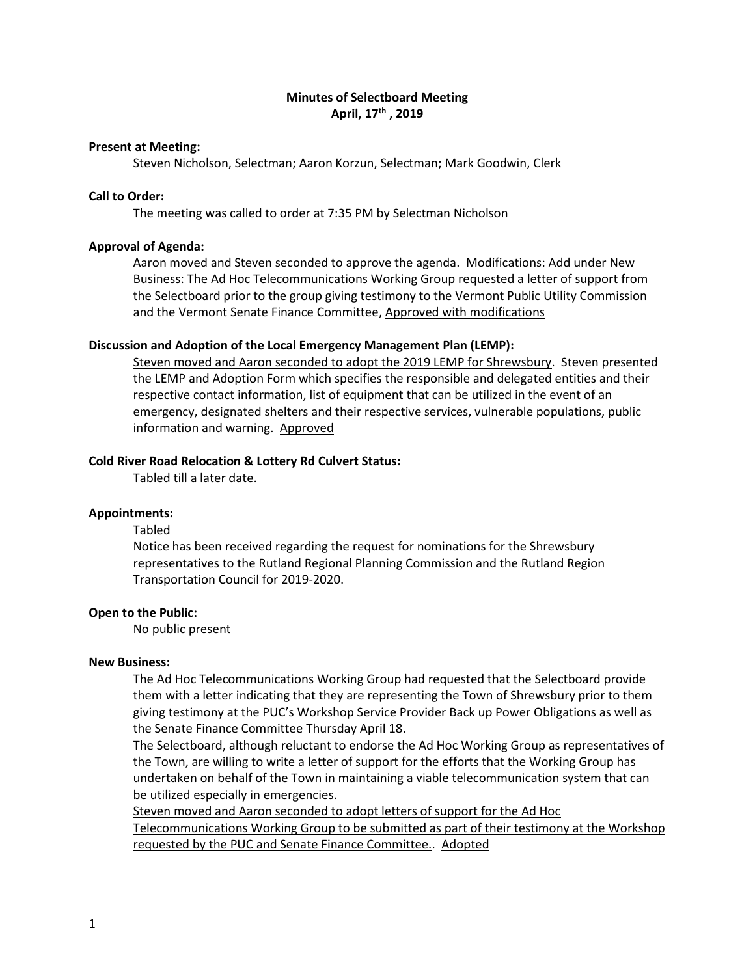# **Minutes of Selectboard Meeting April, 17th , 2019**

### **Present at Meeting:**

Steven Nicholson, Selectman; Aaron Korzun, Selectman; Mark Goodwin, Clerk

## **Call to Order:**

The meeting was called to order at 7:35 PM by Selectman Nicholson

#### **Approval of Agenda:**

Aaron moved and Steven seconded to approve the agenda. Modifications: Add under New Business: The Ad Hoc Telecommunications Working Group requested a letter of support from the Selectboard prior to the group giving testimony to the Vermont Public Utility Commission and the Vermont Senate Finance Committee, Approved with modifications

### **Discussion and Adoption of the Local Emergency Management Plan (LEMP):**

Steven moved and Aaron seconded to adopt the 2019 LEMP for Shrewsbury. Steven presented the LEMP and Adoption Form which specifies the responsible and delegated entities and their respective contact information, list of equipment that can be utilized in the event of an emergency, designated shelters and their respective services, vulnerable populations, public information and warning. Approved

### **Cold River Road Relocation & Lottery Rd Culvert Status:**

Tabled till a later date.

### **Appointments:**

Tabled

Notice has been received regarding the request for nominations for the Shrewsbury representatives to the Rutland Regional Planning Commission and the Rutland Region Transportation Council for 2019-2020.

#### **Open to the Public:**

No public present

#### **New Business:**

The Ad Hoc Telecommunications Working Group had requested that the Selectboard provide them with a letter indicating that they are representing the Town of Shrewsbury prior to them giving testimony at the PUC's Workshop Service Provider Back up Power Obligations as well as the Senate Finance Committee Thursday April 18.

The Selectboard, although reluctant to endorse the Ad Hoc Working Group as representatives of the Town, are willing to write a letter of support for the efforts that the Working Group has undertaken on behalf of the Town in maintaining a viable telecommunication system that can be utilized especially in emergencies.

Steven moved and Aaron seconded to adopt letters of support for the Ad Hoc Telecommunications Working Group to be submitted as part of their testimony at the Workshop requested by the PUC and Senate Finance Committee.. Adopted